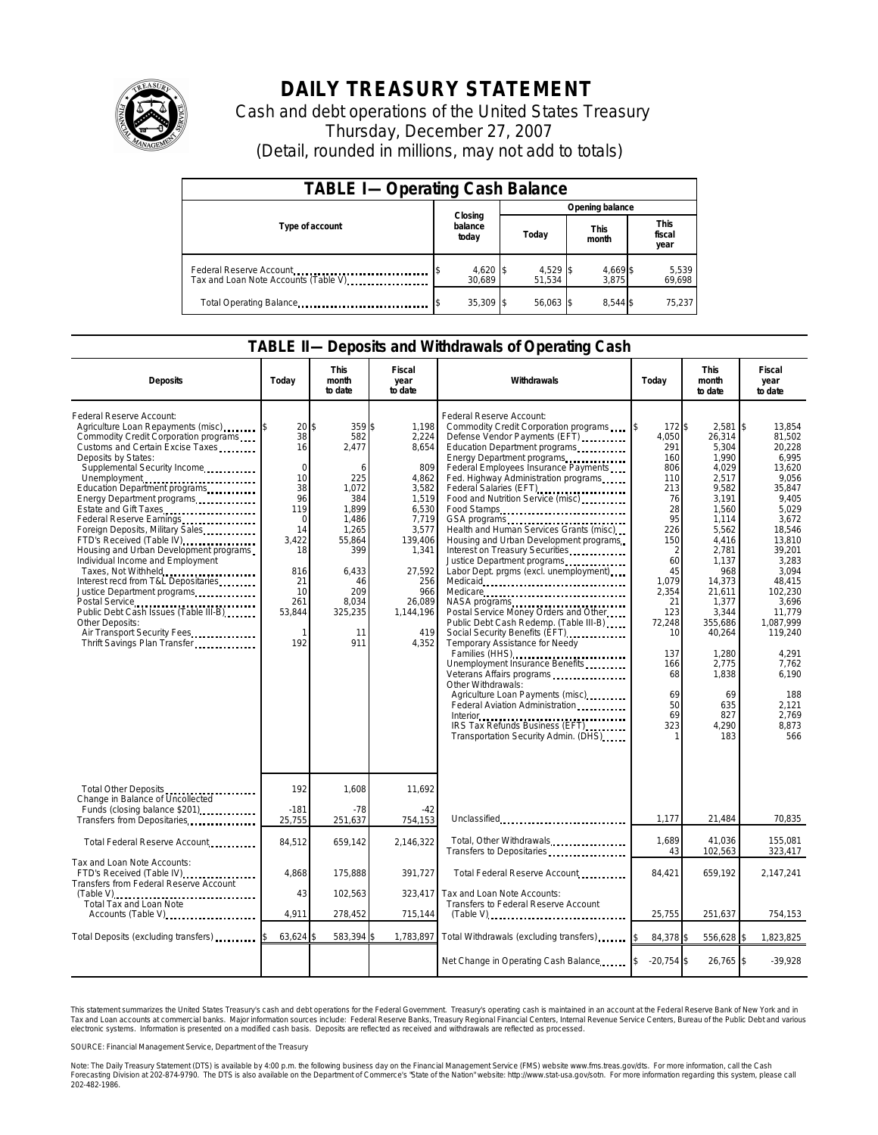

## **DAILY TREASURY STATEMENT**

Cash and debt operations of the United States Treasury Thursday, December 27, 2007 (Detail, rounded in millions, may not add to totals)

| <b>TABLE I-Operating Cash Balance</b>                           |                             |                      |                      |                               |  |  |  |
|-----------------------------------------------------------------|-----------------------------|----------------------|----------------------|-------------------------------|--|--|--|
|                                                                 |                             | Opening balance      |                      |                               |  |  |  |
| Type of account                                                 | Closing<br>balance<br>today | Today                | <b>This</b><br>month | <b>This</b><br>fiscal<br>year |  |  |  |
| Federal Reserve Account<br>Tax and Loan Note Accounts (Table V) | 4,620 \$<br>30.689          | $4,529$ \$<br>51.534 | 4,669 \$<br>3.875    | 5,539<br>69,698               |  |  |  |
| Total Operating Balance                                         | $35.309$ \$                 | 56,063 \$            | 8.544 \$             | 75,237                        |  |  |  |

## **TABLE II—Deposits and Withdrawals of Operating Cash**

| <b>Deposits</b>                                                                                                                                                                                                                                                                                                                                                                                                                                                                                                                                                                                                                                                                                               | Today                                                                                                                                   | This<br>month<br>to date                                                                                                                                   | Fiscal<br>year<br>to date                                                                                                                                               | Withdrawals                                                                                                                                                                                                                                                                                                                                                                                                                                                                                                                                                                                                                                                                                                                                                                                                                                                                                                                                                                                                                                                                                                                                  | Today                                                                                                                                                                                           | <b>This</b><br>month<br>to date                                                                                                                                                                                                                              | Fiscal<br>year<br>to date                                                                                                                                                                                                                                                              |
|---------------------------------------------------------------------------------------------------------------------------------------------------------------------------------------------------------------------------------------------------------------------------------------------------------------------------------------------------------------------------------------------------------------------------------------------------------------------------------------------------------------------------------------------------------------------------------------------------------------------------------------------------------------------------------------------------------------|-----------------------------------------------------------------------------------------------------------------------------------------|------------------------------------------------------------------------------------------------------------------------------------------------------------|-------------------------------------------------------------------------------------------------------------------------------------------------------------------------|----------------------------------------------------------------------------------------------------------------------------------------------------------------------------------------------------------------------------------------------------------------------------------------------------------------------------------------------------------------------------------------------------------------------------------------------------------------------------------------------------------------------------------------------------------------------------------------------------------------------------------------------------------------------------------------------------------------------------------------------------------------------------------------------------------------------------------------------------------------------------------------------------------------------------------------------------------------------------------------------------------------------------------------------------------------------------------------------------------------------------------------------|-------------------------------------------------------------------------------------------------------------------------------------------------------------------------------------------------|--------------------------------------------------------------------------------------------------------------------------------------------------------------------------------------------------------------------------------------------------------------|----------------------------------------------------------------------------------------------------------------------------------------------------------------------------------------------------------------------------------------------------------------------------------------|
| Federal Reserve Account:<br>Agriculture Loan Repayments (misc)<br>Commodity Credit Corporation programs<br>Customs and Certain Excise Taxes<br>Deposits by States:<br>Supplemental Security Income<br>Unemployment<br>Education Department programs<br>Energy Department programs<br>Estate and Gift Taxes<br>Federal Reserve Earnings<br>Foreign Deposits, Military Sales<br>FTD's Received (Table IV)<br>Housing and Urban Development programs<br>Individual Income and Employment<br>Taxes, Not Withheld<br>Interest recd from T&L Depositaries<br>Justice Department programs<br>Public Debt Cash Issues (Table III-B)<br>Other Deposits:<br>Air Transport Security Fees<br>Thrift Savings Plan Transfer | 20<br>38<br>16<br>$\Omega$<br>10<br>38<br>96<br>119<br>$\mathbf 0$<br>14<br>3.422<br>18<br>816<br>21<br>10<br>261<br>53,844<br>1<br>192 | \$<br>359\$<br>582<br>2,477<br>6<br>225<br>1,072<br>384<br>1.899<br>1,486<br>1,265<br>55,864<br>399<br>6,433<br>46<br>209<br>8,034<br>325,235<br>11<br>911 | 1.198<br>2,224<br>8,654<br>809<br>4,862<br>3,582<br>1,519<br>6,530<br>7,719<br>3,577<br>139,406<br>1,341<br>27,592<br>256<br>966<br>26.089<br>1,144,196<br>419<br>4,352 | Federal Reserve Account:<br>Commodity Credit Corporation programs<br>Defense Vendor Payments (EFT)<br>Education Department programs<br>Energy Department programs<br>Federal Employees Insurance Payments<br>Fed. Highway Administration programs<br>Federal Salaries (EFT)<br>1999: 1999: 1999: 1999: 1999: 1999: 1999: 1999: 1999: 1999: 1999: 1999: 1999: 1999: 1999: 1999: 1999: 1999: 1999: 1999: 1999: 1999: 1999: 1999: 1999: 1999: 1999: 1999: 1999: 1999: 1999: 1999: 1999:<br>Food and Nutrition Service (misc)<br>Food Stamps<br>Health and Human Services Grants (misc)<br>Housing and Urban Development programs<br>Interest on Treasury Securities.<br>Labor Dept. prgms (excl. unemployment)<br>NASA programs<br>Postal Service Money Orders and Other<br>Public Debt Cash Redemp. (Table III-B)<br>Social Security Benefits (EFT)<br>Temporary Assistance for Needy<br>Families (HHS)<br>Unemployment Insurance Benefits<br>Veterans Affairs programs<br>Other Withdrawals:<br>Agriculture Loan Payments (misc)<br>Federal Aviation Administration<br>IRS Tax Refunds Business (EFT)<br>Transportation Security Admin. (DHS) | 172 \$<br>4.050<br>291<br>160<br>806<br>110<br>213<br>76<br>28<br>95<br>226<br>150<br>2<br>60<br>45<br>1.079<br>2,354<br>21<br>123<br>72,248<br>10<br>137<br>166<br>68<br>69<br>50<br>69<br>323 | 2,581<br>26,314<br>5,304<br>1,990<br>4,029<br>2,517<br>9,582<br>3,191<br>1,560<br>1,114<br>5,562<br>4,416<br>2,781<br>1,137<br>968<br>14,373<br>21,611<br>1,377<br>3,344<br>355,686<br>40,264<br>1,280<br>2,775<br>1,838<br>69<br>635<br>827<br>4,290<br>183 | I\$<br>13.854<br>81,502<br>20,228<br>6.995<br>13.620<br>9,056<br>35,847<br>9,405<br>5.029<br>3,672<br>18,546<br>13.810<br>39,201<br>3,283<br>3.094<br>48.415<br>102,230<br>3,696<br>11.779<br>1,087,999<br>119,240<br>4,291<br>7,762<br>6.190<br>188<br>2,121<br>2.769<br>8.873<br>566 |
| Total Other Deposits<br>Change in Balance of Uncollected                                                                                                                                                                                                                                                                                                                                                                                                                                                                                                                                                                                                                                                      | 192<br>$-181$                                                                                                                           | 1,608<br>$-78$                                                                                                                                             | 11,692<br>$-42$                                                                                                                                                         |                                                                                                                                                                                                                                                                                                                                                                                                                                                                                                                                                                                                                                                                                                                                                                                                                                                                                                                                                                                                                                                                                                                                              |                                                                                                                                                                                                 |                                                                                                                                                                                                                                                              |                                                                                                                                                                                                                                                                                        |
| Transfers from Depositaries                                                                                                                                                                                                                                                                                                                                                                                                                                                                                                                                                                                                                                                                                   | 25,755                                                                                                                                  | 251,637                                                                                                                                                    | 754,153                                                                                                                                                                 | Unclassified                                                                                                                                                                                                                                                                                                                                                                                                                                                                                                                                                                                                                                                                                                                                                                                                                                                                                                                                                                                                                                                                                                                                 | 1,177                                                                                                                                                                                           | 21,484                                                                                                                                                                                                                                                       | 70,835                                                                                                                                                                                                                                                                                 |
| Total Federal Reserve Account                                                                                                                                                                                                                                                                                                                                                                                                                                                                                                                                                                                                                                                                                 | 84,512                                                                                                                                  | 659.142                                                                                                                                                    | 2.146.322                                                                                                                                                               | Total, Other Withdrawals<br>Transfers to Depositaries                                                                                                                                                                                                                                                                                                                                                                                                                                                                                                                                                                                                                                                                                                                                                                                                                                                                                                                                                                                                                                                                                        | 1.689<br>43                                                                                                                                                                                     | 41.036<br>102,563                                                                                                                                                                                                                                            | 155,081<br>323,417                                                                                                                                                                                                                                                                     |
| Tax and Loan Note Accounts:<br>FTD's Received (Table IV)<br>Transfers from Federal Reserve Account                                                                                                                                                                                                                                                                                                                                                                                                                                                                                                                                                                                                            | 4.868                                                                                                                                   | 175.888                                                                                                                                                    | 391.727                                                                                                                                                                 | Total Federal Reserve Account                                                                                                                                                                                                                                                                                                                                                                                                                                                                                                                                                                                                                                                                                                                                                                                                                                                                                                                                                                                                                                                                                                                | 84,421                                                                                                                                                                                          | 659,192                                                                                                                                                                                                                                                      | 2.147.241                                                                                                                                                                                                                                                                              |
| $(Table V)$<br>Total Tax and Loan Note                                                                                                                                                                                                                                                                                                                                                                                                                                                                                                                                                                                                                                                                        | 43                                                                                                                                      | 102,563                                                                                                                                                    | 323,417                                                                                                                                                                 | Tax and Loan Note Accounts:<br>Transfers to Federal Reserve Account                                                                                                                                                                                                                                                                                                                                                                                                                                                                                                                                                                                                                                                                                                                                                                                                                                                                                                                                                                                                                                                                          |                                                                                                                                                                                                 |                                                                                                                                                                                                                                                              |                                                                                                                                                                                                                                                                                        |
| Accounts (Table V)                                                                                                                                                                                                                                                                                                                                                                                                                                                                                                                                                                                                                                                                                            | 4.911                                                                                                                                   | 278,452                                                                                                                                                    | 715,144                                                                                                                                                                 | $(Table V)$                                                                                                                                                                                                                                                                                                                                                                                                                                                                                                                                                                                                                                                                                                                                                                                                                                                                                                                                                                                                                                                                                                                                  | 25,755                                                                                                                                                                                          | 251,637                                                                                                                                                                                                                                                      | 754,153                                                                                                                                                                                                                                                                                |
| Total Deposits (excluding transfers)                                                                                                                                                                                                                                                                                                                                                                                                                                                                                                                                                                                                                                                                          | 63,624                                                                                                                                  | 583,394                                                                                                                                                    |                                                                                                                                                                         | 1,783,897 Total Withdrawals (excluding transfers)                                                                                                                                                                                                                                                                                                                                                                                                                                                                                                                                                                                                                                                                                                                                                                                                                                                                                                                                                                                                                                                                                            | 84,378 \$                                                                                                                                                                                       | 556,628 \$                                                                                                                                                                                                                                                   | 1,823,825                                                                                                                                                                                                                                                                              |
|                                                                                                                                                                                                                                                                                                                                                                                                                                                                                                                                                                                                                                                                                                               |                                                                                                                                         |                                                                                                                                                            |                                                                                                                                                                         | Net Change in Operating Cash Balance                                                                                                                                                                                                                                                                                                                                                                                                                                                                                                                                                                                                                                                                                                                                                                                                                                                                                                                                                                                                                                                                                                         | $-20,754$ \$                                                                                                                                                                                    | 26,765 \$                                                                                                                                                                                                                                                    | $-39,928$                                                                                                                                                                                                                                                                              |

This statement summarizes the United States Treasury's cash and debt operations for the Federal Government. Treasury's operating cash is maintained in an account at the Federal Reserve Bank of New York and in<br>Tax and Loan narizes the United States Treasury's cash and debt operations for the Federal Government. Treasury's operating cash is maintained in an account at the Federal Reserve<br>ints at commercial banks. Major information sources inc

SOURCE: Financial Management Service, Department of the Treasury

Note: The Daily Treasury Statement (DTS) is available by 4:00 p.m. the following business day on the Financial Management Service (FMS) website www.fms.treas.gov/dts. For more information, call the Cash<br>Forecasting Divisio 202-482-1986.